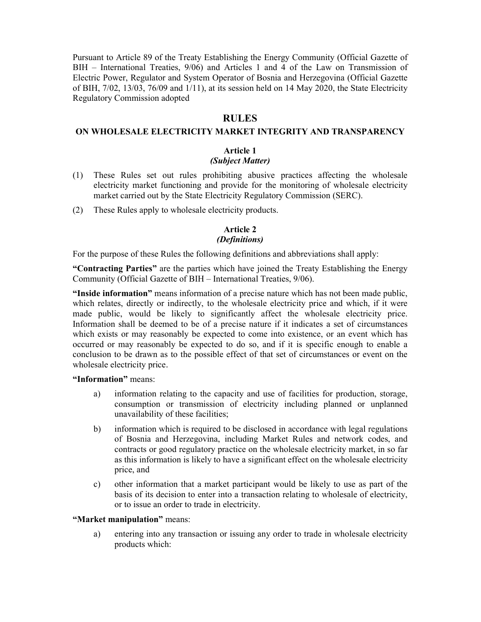Pursuant to Article 89 of the Treaty Establishing the Energy Community (Official Gazette of BIH – International Treaties, 9/06) and Articles 1 and 4 of the Law on Transmission of Electric Power, Regulator and System Operator of Bosnia and Herzegovina (Official Gazette of BIH, 7/02, 13/03, 76/09 and 1/11), at its session held on 14 May 2020, the State Electricity Regulatory Commission adopted

# **RULES**

### **ON WHOLESALE ELECTRICITY MARKET INTEGRITY AND TRANSPARENCY**

### **Article 1**

# *(Subject Matter)*

- (1) These Rules set out rules prohibiting abusive practices affecting the wholesale electricity market functioning and provide for the monitoring of wholesale electricity market carried out by the State Electricity Regulatory Commission (SERC).
- (2) These Rules apply to wholesale electricity products.

# **Article 2**

### *(Definitions)*

For the purpose of these Rules the following definitions and abbreviations shall apply:

**"Contracting Parties"** are the parties which have joined the Treaty Establishing the Energy Community (Official Gazette of BIH – International Treaties, 9/06).

**"Inside information"** means information of a precise nature which has not been made public, which relates, directly or indirectly, to the wholesale electricity price and which, if it were made public, would be likely to significantly affect the wholesale electricity price. Information shall be deemed to be of a precise nature if it indicates a set of circumstances which exists or may reasonably be expected to come into existence, or an event which has occurred or may reasonably be expected to do so, and if it is specific enough to enable a conclusion to be drawn as to the possible effect of that set of circumstances or event on the wholesale electricity price.

**"Information"** means:

- a) information relating to the capacity and use of facilities for production, storage, consumption or transmission of electricity including planned or unplanned unavailability of these facilities;
- b) information which is required to be disclosed in accordance with legal regulations of Bosnia and Herzegovina, including Market Rules and network codes, and contracts or good regulatory practice on the wholesale electricity market, in so far as this information is likely to have a significant effect on the wholesale electricity price, and
- c) other information that a market participant would be likely to use as part of the basis of its decision to enter into a transaction relating to wholesale of electricity, or to issue an order to trade in electricity.

### **"Market manipulation"** means:

a) entering into any transaction or issuing any order to trade in wholesale electricity products which: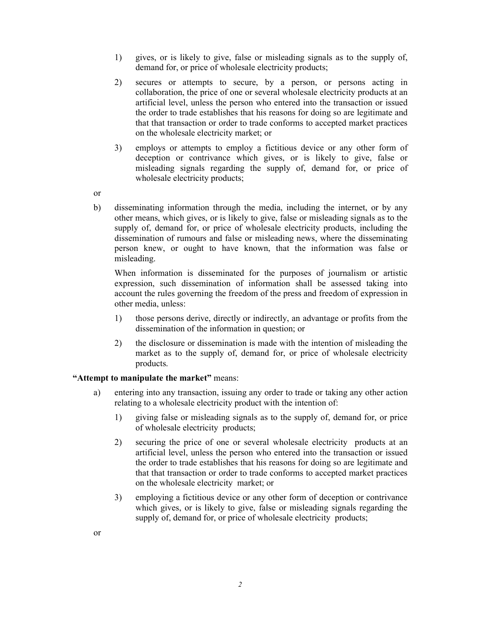- 1) gives, or is likely to give, false or misleading signals as to the supply of, demand for, or price of wholesale electricity products;
- 2) secures or attempts to secure, by a person, or persons acting in collaboration, the price of one or several wholesale electricity products at an artificial level, unless the person who entered into the transaction or issued the order to trade establishes that his reasons for doing so are legitimate and that that transaction or order to trade conforms to accepted market practices on the wholesale electricity market; or
- 3) employs or attempts to employ a fictitious device or any other form of deception or contrivance which gives, or is likely to give, false or misleading signals regarding the supply of, demand for, or price of wholesale electricity products;
- or
- b) disseminating information through the media, including the internet, or by any other means, which gives, or is likely to give, false or misleading signals as to the supply of, demand for, or price of wholesale electricity products, including the dissemination of rumours and false or misleading news, where the disseminating person knew, or ought to have known, that the information was false or misleading.

When information is disseminated for the purposes of journalism or artistic expression, such dissemination of information shall be assessed taking into account the rules governing the freedom of the press and freedom of expression in other media, unless:

- 1) those persons derive, directly or indirectly, an advantage or profits from the dissemination of the information in question; or
- 2) the disclosure or dissemination is made with the intention of misleading the market as to the supply of, demand for, or price of wholesale electricity products.

# **"Attempt to manipulate the market"** means:

- a) entering into any transaction, issuing any order to trade or taking any other action relating to a wholesale electricity product with the intention of:
	- 1) giving false or misleading signals as to the supply of, demand for, or price of wholesale electricity products;
	- 2) securing the price of one or several wholesale electricity products at an artificial level, unless the person who entered into the transaction or issued the order to trade establishes that his reasons for doing so are legitimate and that that transaction or order to trade conforms to accepted market practices on the wholesale electricity market; or
	- 3) employing a fictitious device or any other form of deception or contrivance which gives, or is likely to give, false or misleading signals regarding the supply of, demand for, or price of wholesale electricity products;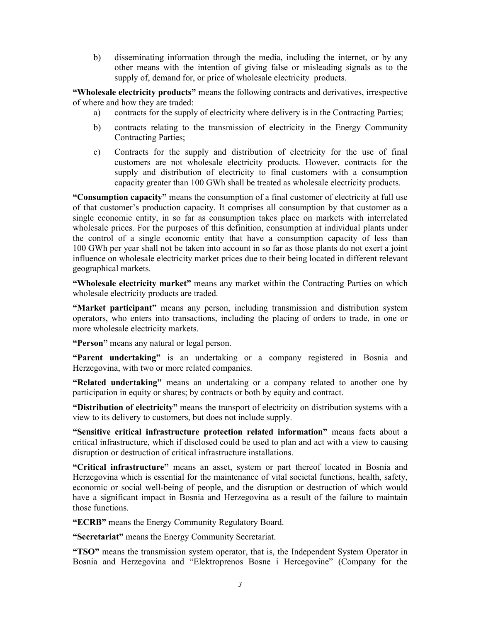b) disseminating information through the media, including the internet, or by any other means with the intention of giving false or misleading signals as to the supply of, demand for, or price of wholesale electricity products.

**"Wholesale electricity products"** means the following contracts and derivatives, irrespective of where and how they are traded:

- a) contracts for the supply of electricity where delivery is in the Contracting Parties;
- b) contracts relating to the transmission of electricity in the Energy Community Contracting Parties;
- c) Contracts for the supply and distribution of electricity for the use of final customers are not wholesale electricity products. However, contracts for the supply and distribution of electricity to final customers with a consumption capacity greater than 100 GWh shall be treated as wholesale electricity products.

**"Consumption capacity"** means the consumption of a final customer of electricity at full use of that customer's production capacity. It comprises all consumption by that customer as a single economic entity, in so far as consumption takes place on markets with interrelated wholesale prices. For the purposes of this definition, consumption at individual plants under the control of a single economic entity that have a consumption capacity of less than 100 GWh per year shall not be taken into account in so far as those plants do not exert a joint influence on wholesale electricity market prices due to their being located in different relevant geographical markets.

**"Wholesale electricity market"** means any market within the Contracting Parties on which wholesale electricity products are traded.

**"Market participant"** means any person, including transmission and distribution system operators, who enters into transactions, including the placing of orders to trade, in one or more wholesale electricity markets.

**"Person"** means any natural or legal person.

**"Parent undertaking"** is an undertaking or a company registered in Bosnia and Herzegovina, with two or more related companies.

**"Related undertaking"** means an undertaking or a company related to another one by participation in equity or shares; by contracts or both by equity and contract.

**"Distribution of electricity"** means the transport of electricity on distribution systems with a view to its delivery to customers, but does not include supply.

**"Sensitive critical infrastructure protection related information"** means facts about a critical infrastructure, which if disclosed could be used to plan and act with a view to causing disruption or destruction of critical infrastructure installations.

**"Critical infrastructure"** means an asset, system or part thereof located in Bosnia and Herzegovina which is essential for the maintenance of vital societal functions, health, safety, economic or social well-being of people, and the disruption or destruction of which would have a significant impact in Bosnia and Herzegovina as a result of the failure to maintain those functions.

**"ECRB"** means the Energy Community Regulatory Board.

**"Secretariat"** means the Energy Community Secretariat.

**"TSO"** means the transmission system operator, that is, the Independent System Operator in Bosnia and Herzegovina and "Elektroprenos Bosne i Hercegovine" (Company for the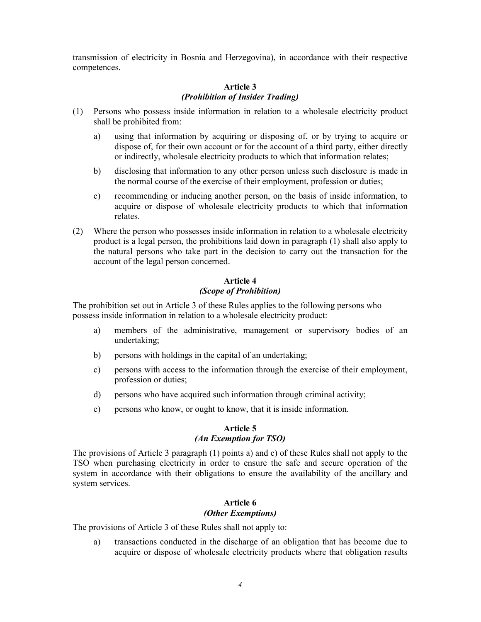transmission of electricity in Bosnia and Herzegovina), in accordance with their respective competences.

# **Article 3**  *(Prohibition of Insider Trading)*

- (1) Persons who possess inside information in relation to a wholesale electricity product shall be prohibited from:
	- a) using that information by acquiring or disposing of, or by trying to acquire or dispose of, for their own account or for the account of a third party, either directly or indirectly, wholesale electricity products to which that information relates;
	- b) disclosing that information to any other person unless such disclosure is made in the normal course of the exercise of their employment, profession or duties;
	- c) recommending or inducing another person, on the basis of inside information, to acquire or dispose of wholesale electricity products to which that information relates.
- (2) Where the person who possesses inside information in relation to a wholesale electricity product is a legal person, the prohibitions laid down in paragraph (1) shall also apply to the natural persons who take part in the decision to carry out the transaction for the account of the legal person concerned.

# **Article 4**  *(Scope of Prohibition)*

The prohibition set out in Article 3 of these Rules applies to the following persons who possess inside information in relation to a wholesale electricity product:

- a) members of the administrative, management or supervisory bodies of an undertaking;
- b) persons with holdings in the capital of an undertaking;
- c) persons with access to the information through the exercise of their employment, profession or duties;
- d) persons who have acquired such information through criminal activity;
- e) persons who know, or ought to know, that it is inside information.

# **Article 5**  *(An Exemption for TSO)*

The provisions of Article 3 paragraph (1) points a) and c) of these Rules shall not apply to the TSO when purchasing electricity in order to ensure the safe and secure operation of the system in accordance with their obligations to ensure the availability of the ancillary and system services.

# **Article 6**  *(Other Exemptions)*

The provisions of Article 3 of these Rules shall not apply to:

a) transactions conducted in the discharge of an obligation that has become due to acquire or dispose of wholesale electricity products where that obligation results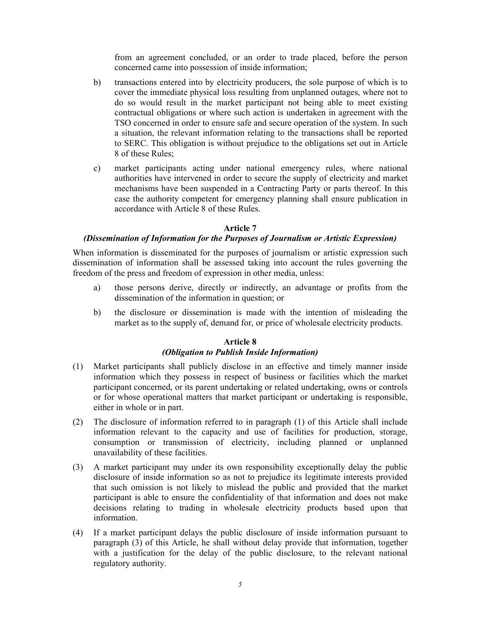from an agreement concluded, or an order to trade placed, before the person concerned came into possession of inside information;

- b) transactions entered into by electricity producers, the sole purpose of which is to cover the immediate physical loss resulting from unplanned outages, where not to do so would result in the market participant not being able to meet existing contractual obligations or where such action is undertaken in agreement with the TSO concerned in order to ensure safe and secure operation of the system. In such a situation, the relevant information relating to the transactions shall be reported to SERC. This obligation is without prejudice to the obligations set out in Article 8 of these Rules;
- c) market participants acting under national emergency rules, where national authorities have intervened in order to secure the supply of electricity and market mechanisms have been suspended in a Contracting Party or parts thereof. In this case the authority competent for emergency planning shall ensure publication in accordance with Article 8 of these Rules.

### **Article 7**

### *(Dissemination of Information for the Purposes of Journalism or Artistic Expression)*

When information is disseminated for the purposes of journalism or artistic expression such dissemination of information shall be assessed taking into account the rules governing the freedom of the press and freedom of expression in other media, unless:

- a) those persons derive, directly or indirectly, an advantage or profits from the dissemination of the information in question; or
- b) the disclosure or dissemination is made with the intention of misleading the market as to the supply of, demand for, or price of wholesale electricity products.

### **Article 8**

# *(Obligation to Publish Inside Information)*

- (1) Market participants shall publicly disclose in an effective and timely manner inside information which they possess in respect of business or facilities which the market participant concerned, or its parent undertaking or related undertaking, owns or controls or for whose operational matters that market participant or undertaking is responsible, either in whole or in part.
- (2) The disclosure of information referred to in paragraph (1) of this Article shall include information relevant to the capacity and use of facilities for production, storage, consumption or transmission of electricity, including planned or unplanned unavailability of these facilities.
- (3) A market participant may under its own responsibility exceptionally delay the public disclosure of inside information so as not to prejudice its legitimate interests provided that such omission is not likely to mislead the public and provided that the market participant is able to ensure the confidentiality of that information and does not make decisions relating to trading in wholesale electricity products based upon that information.
- (4) If a market participant delays the public disclosure of inside information pursuant to paragraph (3) of this Article, he shall without delay provide that information, together with a justification for the delay of the public disclosure, to the relevant national regulatory authority.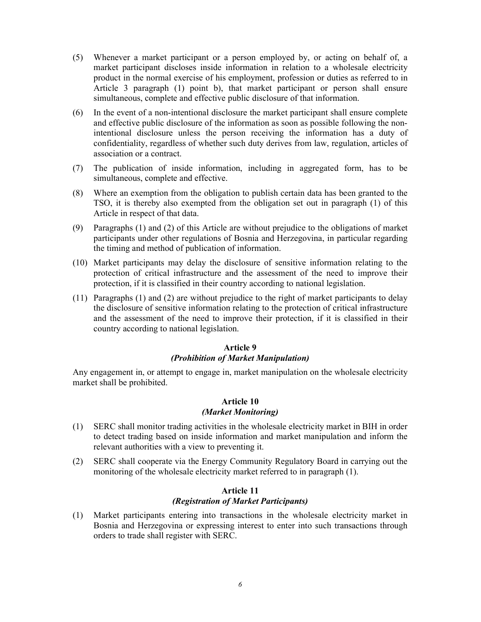- (5) Whenever a market participant or a person employed by, or acting on behalf of, a market participant discloses inside information in relation to a wholesale electricity product in the normal exercise of his employment, profession or duties as referred to in Article 3 paragraph (1) point b), that market participant or person shall ensure simultaneous, complete and effective public disclosure of that information.
- (6) In the event of a non-intentional disclosure the market participant shall ensure complete and effective public disclosure of the information as soon as possible following the nonintentional disclosure unless the person receiving the information has a duty of confidentiality, regardless of whether such duty derives from law, regulation, articles of association or a contract.
- (7) The publication of inside information, including in aggregated form, has to be simultaneous, complete and effective.
- (8) Where an exemption from the obligation to publish certain data has been granted to the TSO, it is thereby also exempted from the obligation set out in paragraph (1) of this Article in respect of that data.
- (9) Paragraphs (1) and (2) of this Article are without prejudice to the obligations of market participants under other regulations of Bosnia and Herzegovina, in particular regarding the timing and method of publication of information.
- (10) Market participants may delay the disclosure of sensitive information relating to the protection of critical infrastructure and the assessment of the need to improve their protection, if it is classified in their country according to national legislation.
- (11) Paragraphs (1) and (2) are without prejudice to the right of market participants to delay the disclosure of sensitive information relating to the protection of critical infrastructure and the assessment of the need to improve their protection, if it is classified in their country according to national legislation.

### **Article 9**

# *(Prohibition of Market Manipulation)*

Any engagement in, or attempt to engage in, market manipulation on the wholesale electricity market shall be prohibited.

# **Article 10**  *(Market Monitoring)*

- (1) SERC shall monitor trading activities in the wholesale electricity market in BIH in order to detect trading based on inside information and market manipulation and inform the relevant authorities with a view to preventing it.
- (2) SERC shall cooperate via the Energy Community Regulatory Board in carrying out the monitoring of the wholesale electricity market referred to in paragraph (1).

### **Article 11**  *(Registration of Market Participants)*

(1) Market participants entering into transactions in the wholesale electricity market in Bosnia and Herzegovina or expressing interest to enter into such transactions through orders to trade shall register with SERC.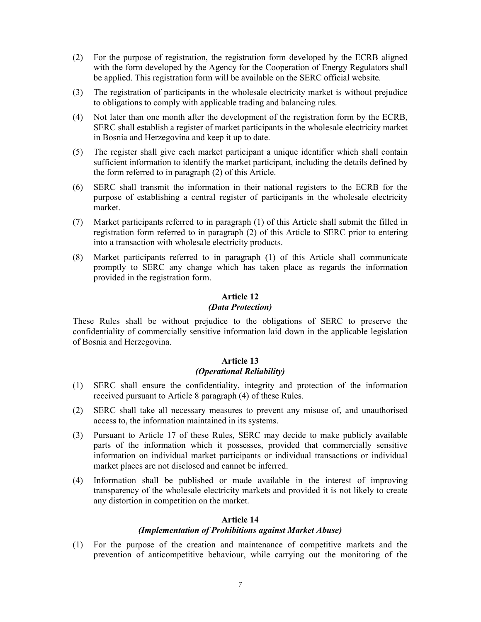- (2) For the purpose of registration, the registration form developed by the ECRB aligned with the form developed by the Agency for the Cooperation of Energy Regulators shall be applied. This registration form will be available on the SERC official website.
- (3) The registration of participants in the wholesale electricity market is without prejudice to obligations to comply with applicable trading and balancing rules.
- (4) Not later than one month after the development of the registration form by the ECRB, SERC shall establish a register of market participants in the wholesale electricity market in Bosnia and Herzegovina and keep it up to date.
- (5) The register shall give each market participant a unique identifier which shall contain sufficient information to identify the market participant, including the details defined by the form referred to in paragraph (2) of this Article.
- (6) SERC shall transmit the information in their national registers to the ECRB for the purpose of establishing a central register of participants in the wholesale electricity market.
- (7) Market participants referred to in paragraph (1) of this Article shall submit the filled in registration form referred to in paragraph (2) of this Article to SERC prior to entering into a transaction with wholesale electricity products.
- (8) Market participants referred to in paragraph (1) of this Article shall communicate promptly to SERC any change which has taken place as regards the information provided in the registration form.

#### **Article 12**  *(Data Protection)*

These Rules shall be without prejudice to the obligations of SERC to preserve the confidentiality of commercially sensitive information laid down in the applicable legislation of Bosnia and Herzegovina.

# **Article 13**  *(Operational Reliability)*

- (1) SERC shall ensure the confidentiality, integrity and protection of the information received pursuant to Article 8 paragraph (4) of these Rules.
- (2) SERC shall take all necessary measures to prevent any misuse of, and unauthorised access to, the information maintained in its systems.
- (3) Pursuant to Article 17 of these Rules, SERC may decide to make publicly available parts of the information which it possesses, provided that commercially sensitive information on individual market participants or individual transactions or individual market places are not disclosed and cannot be inferred.
- (4) Information shall be published or made available in the interest of improving transparency of the wholesale electricity markets and provided it is not likely to create any distortion in competition on the market.

### **Article 14**

### *(Implementation of Prohibitions against Market Abuse)*

(1) For the purpose of the creation and maintenance of competitive markets and the prevention of anticompetitive behaviour, while carrying out the monitoring of the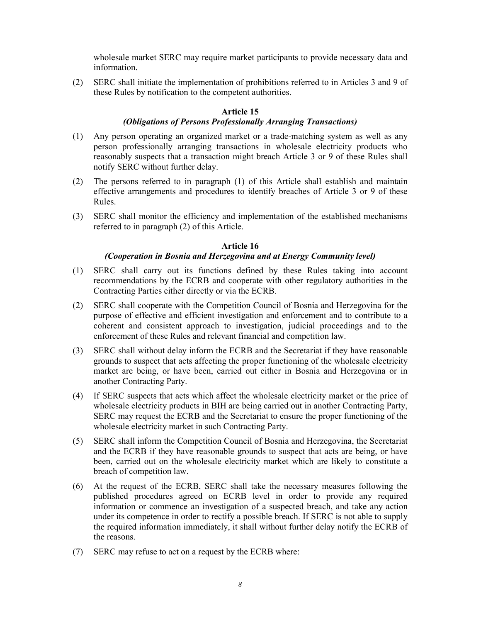wholesale market SERC may require market participants to provide necessary data and information.

(2) SERC shall initiate the implementation of prohibitions referred to in Articles 3 and 9 of these Rules by notification to the competent authorities.

# **Article 15**

### *(Obligations of Persons Professionally Arranging Transactions)*

- (1) Any person operating an organized market or a trade-matching system as well as any person professionally arranging transactions in wholesale electricity products who reasonably suspects that a transaction might breach Article 3 or 9 of these Rules shall notify SERC without further delay.
- (2) The persons referred to in paragraph (1) of this Article shall establish and maintain effective arrangements and procedures to identify breaches of Article 3 or 9 of these Rules.
- (3) SERC shall monitor the efficiency and implementation of the established mechanisms referred to in paragraph (2) of this Article.

### **Article 16**

### *(Cooperation in Bosnia and Herzegovina and at Energy Community level)*

- (1) SERC shall carry out its functions defined by these Rules taking into account recommendations by the ECRB and cooperate with other regulatory authorities in the Contracting Parties either directly or via the ECRB.
- (2) SERC shall cooperate with the Competition Council of Bosnia and Herzegovina for the purpose of effective and efficient investigation and enforcement and to contribute to a coherent and consistent approach to investigation, judicial proceedings and to the enforcement of these Rules and relevant financial and competition law.
- (3) SERC shall without delay inform the ECRB and the Secretariat if they have reasonable grounds to suspect that acts affecting the proper functioning of the wholesale electricity market are being, or have been, carried out either in Bosnia and Herzegovina or in another Contracting Party.
- (4) If SERC suspects that acts which affect the wholesale electricity market or the price of wholesale electricity products in BIH are being carried out in another Contracting Party, SERC may request the ECRB and the Secretariat to ensure the proper functioning of the wholesale electricity market in such Contracting Party.
- (5) SERC shall inform the Competition Council of Bosnia and Herzegovina, the Secretariat and the ECRB if they have reasonable grounds to suspect that acts are being, or have been, carried out on the wholesale electricity market which are likely to constitute a breach of competition law.
- (6) At the request of the ECRB, SERC shall take the necessary measures following the published procedures agreed on ECRB level in order to provide any required information or commence an investigation of a suspected breach, and take any action under its competence in order to rectify a possible breach. If SERC is not able to supply the required information immediately, it shall without further delay notify the ECRB of the reasons.
- (7) SERC may refuse to act on a request by the ECRB where: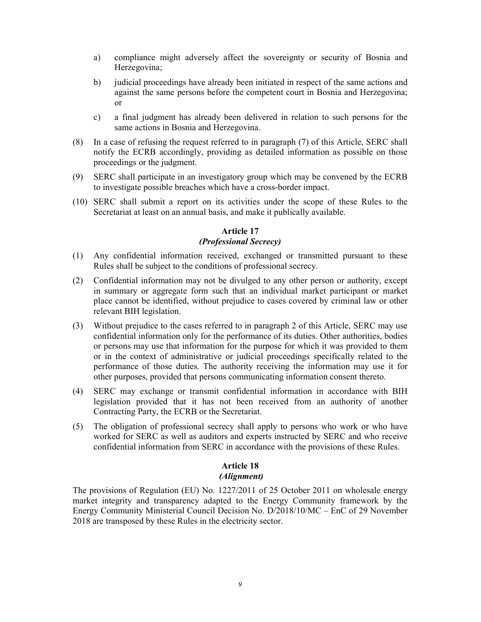- a) compliance might adversely affect the sovereignty or security of Bosnia and Herzegovina;
- b) judicial proceedings have already been initiated in respect of the same actions and against the same persons before the competent court in Bosnia and Herzegovina; or
- c) a final judgment has already been delivered in relation to such persons for the same actions in Bosnia and Herzegovina.
- (8) In a case of refusing the request referred to in paragraph (7) of this Article, SERC shall notify the ECRB accordingly, providing as detailed information as possible on those proceedings or the judgment.
- (9) SERC shall participate in an investigatory group which may be convened by the ECRB to investigate possible breaches which have a cross-border impact.
- (10) SERC shall submit a report on its activities under the scope of these Rules to the Secretariat at least on an annual basis, and make it publically available.

### **Article 17**  *(Professional Secrecy)*

- (1) Any confidential information received, exchanged or transmitted pursuant to these Rules shall be subject to the conditions of professional secrecy.
- (2) Confidential information may not be divulged to any other person or authority, except in summary or aggregate form such that an individual market participant or market place cannot be identified, without prejudice to cases covered by criminal law or other relevant BIH legislation.
- (3) Without prejudice to the cases referred to in paragraph 2 of this Article, SERC may use confidential information only for the performance of its duties. Other authorities, bodies or persons may use that information for the purpose for which it was provided to them or in the context of administrative or judicial proceedings specifically related to the performance of those duties. The authority receiving the information may use it for other purposes, provided that persons communicating information consent thereto.
- (4) SERC may exchange or transmit confidential information in accordance with BIH legislation provided that it has not been received from an authority of another Contracting Party, the ECRB or the Secretariat.
- (5) The obligation of professional secrecy shall apply to persons who work or who have worked for SERC as well as auditors and experts instructed by SERC and who receive confidential information from SERC in accordance with the provisions of these Rules.

#### **Article 18**   *(Alignment)*

The provisions of Regulation (EU) No. 1227/2011 of 25 October 2011 on wholesale energy market integrity and transparency adapted to the Energy Community framework by the Energy Community Ministerial Council Decision No. D/2018/10/MC – EnC of 29 November 2018 are transposed by these Rules in the electricity sector.